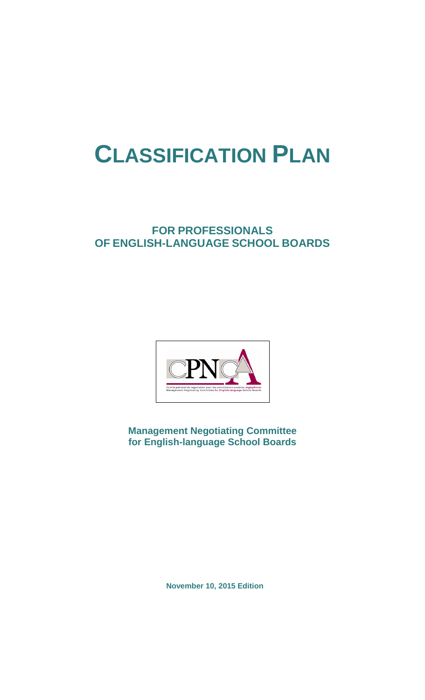# **CLASSIFICATION PLAN**

# **FOR PROFESSIONALS OF ENGLISH-LANGUAGE SCHOOL BOARDS**



**Management Negotiating Committee for English-language School Boards**

**November 10, 2015 Edition**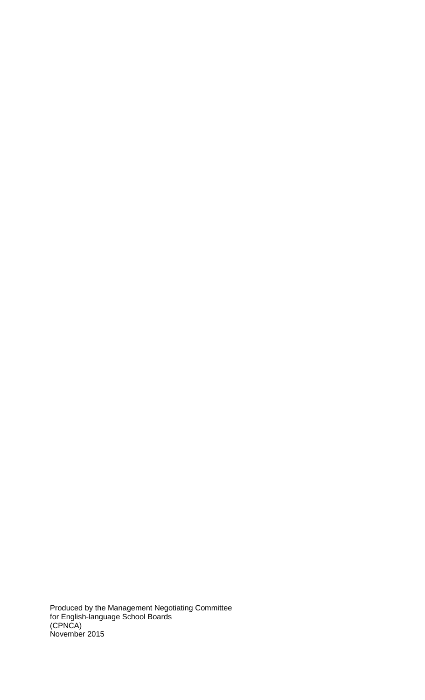Produced by the Management Negotiating Committee for English-language School Boards (CPNCA) November 2015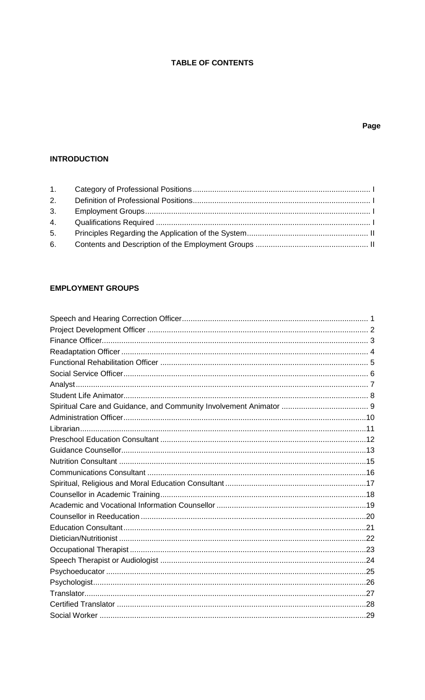# **TABLE OF CONTENTS**

# Page

# **INTRODUCTION**

# **EMPLOYMENT GROUPS**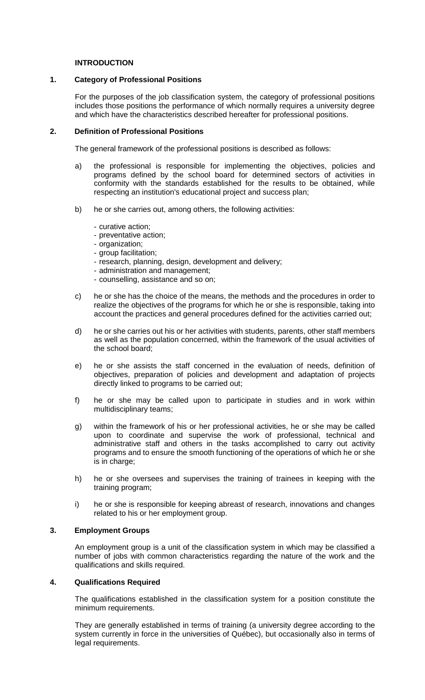# **INTRODUCTION**

# <span id="page-3-0"></span>**1. Category of Professional Positions**

For the purposes of the job classification system, the category of professional positions includes those positions the performance of which normally requires a university degree and which have the characteristics described hereafter for professional positions.

# <span id="page-3-1"></span>**2. Definition of Professional Positions**

The general framework of the professional positions is described as follows:

- a) the professional is responsible for implementing the objectives, policies and programs defined by the school board for determined sectors of activities in conformity with the standards established for the results to be obtained, while respecting an institution's educational project and success plan;
- b) he or she carries out, among others, the following activities:
	- curative action;
	- preventative action;
	- organization;
	- group facilitation;
	- research, planning, design, development and delivery;
	- administration and management;
	- counselling, assistance and so on;
- c) he or she has the choice of the means, the methods and the procedures in order to realize the objectives of the programs for which he or she is responsible, taking into account the practices and general procedures defined for the activities carried out;
- d) he or she carries out his or her activities with students, parents, other staff members as well as the population concerned, within the framework of the usual activities of the school board;
- e) he or she assists the staff concerned in the evaluation of needs, definition of objectives, preparation of policies and development and adaptation of projects directly linked to programs to be carried out;
- f) he or she may be called upon to participate in studies and in work within multidisciplinary teams;
- g) within the framework of his or her professional activities, he or she may be called upon to coordinate and supervise the work of professional, technical and administrative staff and others in the tasks accomplished to carry out activity programs and to ensure the smooth functioning of the operations of which he or she is in charge;
- h) he or she oversees and supervises the training of trainees in keeping with the training program;
- i) he or she is responsible for keeping abreast of research, innovations and changes related to his or her employment group.

# <span id="page-3-2"></span>**3. Employment Groups**

An employment group is a unit of the classification system in which may be classified a number of jobs with common characteristics regarding the nature of the work and the qualifications and skills required.

# <span id="page-3-3"></span>**4. Qualifications Required**

The qualifications established in the classification system for a position constitute the minimum requirements.

They are generally established in terms of training (a university degree according to the system currently in force in the universities of Québec), but occasionally also in terms of legal requirements.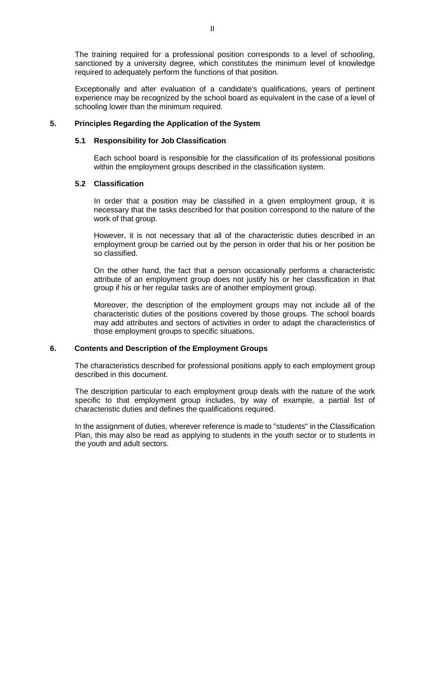The training required for a professional position corresponds to a level of schooling, sanctioned by a university degree, which constitutes the minimum level of knowledge required to adequately perform the functions of that position.

Exceptionally and after evaluation of a candidate's qualifications, years of pertinent experience may be recognized by the school board as equivalent in the case of a level of schooling lower than the minimum required.

# <span id="page-4-0"></span>**5. Principles Regarding the Application of the System**

# **5.1 Responsibility for Job Classification**

Each school board is responsible for the classification of its professional positions within the employment groups described in the classification system.

# **5.2 Classification**

In order that a position may be classified in a given employment group, it is necessary that the tasks described for that position correspond to the nature of the work of that group.

However, it is not necessary that all of the characteristic duties described in an employment group be carried out by the person in order that his or her position be so classified.

On the other hand, the fact that a person occasionally performs a characteristic attribute of an employment group does not justify his or her classification in that group if his or her regular tasks are of another employment group.

Moreover, the description of the employment groups may not include all of the characteristic duties of the positions covered by those groups. The school boards may add attributes and sectors of activities in order to adapt the characteristics of those employment groups to specific situations.

# <span id="page-4-1"></span>**6. Contents and Description of the Employment Groups**

The characteristics described for professional positions apply to each employment group described in this document.

The description particular to each employment group deals with the nature of the work specific to that employment group includes, by way of example, a partial list of characteristic duties and defines the qualifications required.

In the assignment of duties, wherever reference is made to "students" in the Classification Plan, this may also be read as applying to students in the youth sector or to students in the youth and adult sectors.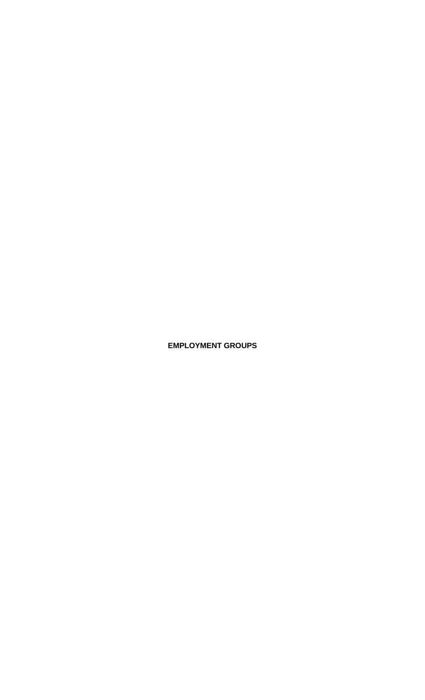**EMPLOYMENT GROUPS**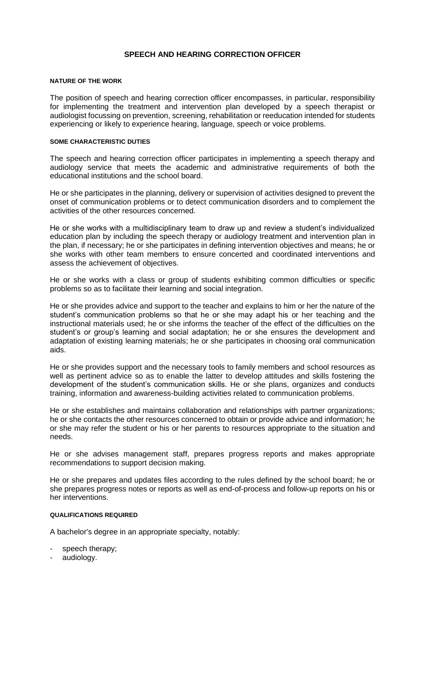# **SPEECH AND HEARING CORRECTION OFFICER**

# <span id="page-6-0"></span>**NATURE OF THE WORK**

The position of speech and hearing correction officer encompasses, in particular, responsibility for implementing the treatment and intervention plan developed by a speech therapist or audiologist focussing on prevention, screening, rehabilitation or reeducation intended for students experiencing or likely to experience hearing, language, speech or voice problems.

#### **SOME CHARACTERISTIC DUTIES**

The speech and hearing correction officer participates in implementing a speech therapy and audiology service that meets the academic and administrative requirements of both the educational institutions and the school board.

He or she participates in the planning, delivery or supervision of activities designed to prevent the onset of communication problems or to detect communication disorders and to complement the activities of the other resources concerned.

He or she works with a multidisciplinary team to draw up and review a student's individualized education plan by including the speech therapy or audiology treatment and intervention plan in the plan, if necessary; he or she participates in defining intervention objectives and means; he or she works with other team members to ensure concerted and coordinated interventions and assess the achievement of objectives.

He or she works with a class or group of students exhibiting common difficulties or specific problems so as to facilitate their learning and social integration.

He or she provides advice and support to the teacher and explains to him or her the nature of the student's communication problems so that he or she may adapt his or her teaching and the instructional materials used; he or she informs the teacher of the effect of the difficulties on the student's or group's learning and social adaptation; he or she ensures the development and adaptation of existing learning materials; he or she participates in choosing oral communication aids.

He or she provides support and the necessary tools to family members and school resources as well as pertinent advice so as to enable the latter to develop attitudes and skills fostering the development of the student's communication skills. He or she plans, organizes and conducts training, information and awareness-building activities related to communication problems.

He or she establishes and maintains collaboration and relationships with partner organizations; he or she contacts the other resources concerned to obtain or provide advice and information; he or she may refer the student or his or her parents to resources appropriate to the situation and needs.

He or she advises management staff, prepares progress reports and makes appropriate recommendations to support decision making.

He or she prepares and updates files according to the rules defined by the school board; he or she prepares progress notes or reports as well as end-of-process and follow-up reports on his or her interventions.

#### **QUALIFICATIONS REQUIRED**

- speech therapy;
- audiology.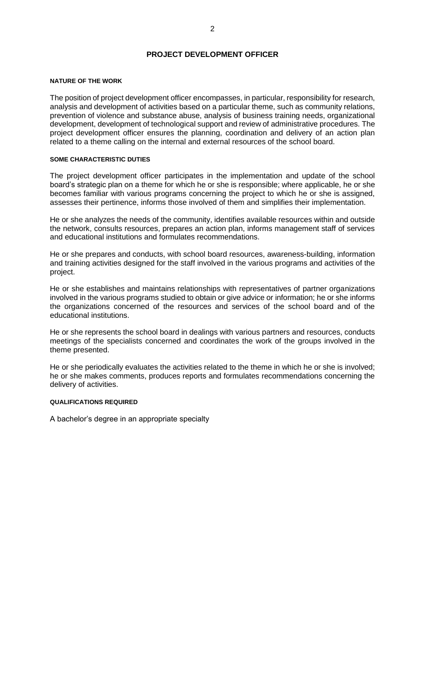# **PROJECT DEVELOPMENT OFFICER**

#### <span id="page-7-0"></span>**NATURE OF THE WORK**

The position of project development officer encompasses, in particular, responsibility for research, analysis and development of activities based on a particular theme, such as community relations, prevention of violence and substance abuse, analysis of business training needs, organizational development, development of technological support and review of administrative procedures. The project development officer ensures the planning, coordination and delivery of an action plan related to a theme calling on the internal and external resources of the school board.

# **SOME CHARACTERISTIC DUTIES**

The project development officer participates in the implementation and update of the school board's strategic plan on a theme for which he or she is responsible; where applicable, he or she becomes familiar with various programs concerning the project to which he or she is assigned, assesses their pertinence, informs those involved of them and simplifies their implementation.

He or she analyzes the needs of the community, identifies available resources within and outside the network, consults resources, prepares an action plan, informs management staff of services and educational institutions and formulates recommendations.

He or she prepares and conducts, with school board resources, awareness-building, information and training activities designed for the staff involved in the various programs and activities of the project.

He or she establishes and maintains relationships with representatives of partner organizations involved in the various programs studied to obtain or give advice or information; he or she informs the organizations concerned of the resources and services of the school board and of the educational institutions.

He or she represents the school board in dealings with various partners and resources, conducts meetings of the specialists concerned and coordinates the work of the groups involved in the theme presented.

He or she periodically evaluates the activities related to the theme in which he or she is involved; he or she makes comments, produces reports and formulates recommendations concerning the delivery of activities.

# **QUALIFICATIONS REQUIRED**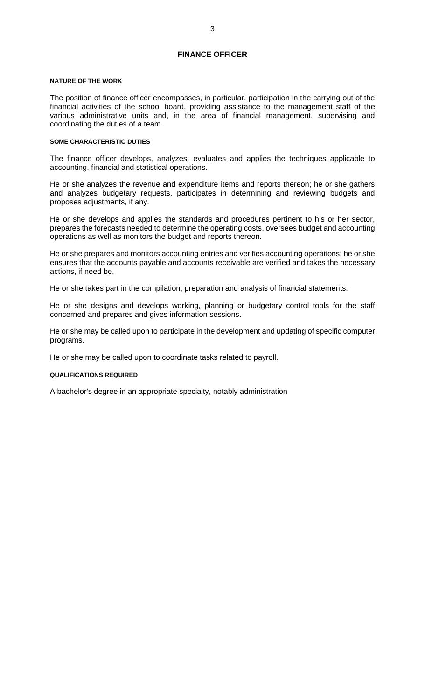# **FINANCE OFFICER**

#### <span id="page-8-0"></span>**NATURE OF THE WORK**

The position of finance officer encompasses, in particular, participation in the carrying out of the financial activities of the school board, providing assistance to the management staff of the various administrative units and, in the area of financial management, supervising and coordinating the duties of a team.

#### **SOME CHARACTERISTIC DUTIES**

The finance officer develops, analyzes, evaluates and applies the techniques applicable to accounting, financial and statistical operations.

He or she analyzes the revenue and expenditure items and reports thereon; he or she gathers and analyzes budgetary requests, participates in determining and reviewing budgets and proposes adjustments, if any.

He or she develops and applies the standards and procedures pertinent to his or her sector, prepares the forecasts needed to determine the operating costs, oversees budget and accounting operations as well as monitors the budget and reports thereon.

He or she prepares and monitors accounting entries and verifies accounting operations; he or she ensures that the accounts payable and accounts receivable are verified and takes the necessary actions, if need be.

He or she takes part in the compilation, preparation and analysis of financial statements.

He or she designs and develops working, planning or budgetary control tools for the staff concerned and prepares and gives information sessions.

He or she may be called upon to participate in the development and updating of specific computer programs.

He or she may be called upon to coordinate tasks related to payroll.

#### **QUALIFICATIONS REQUIRED**

A bachelor's degree in an appropriate specialty, notably administration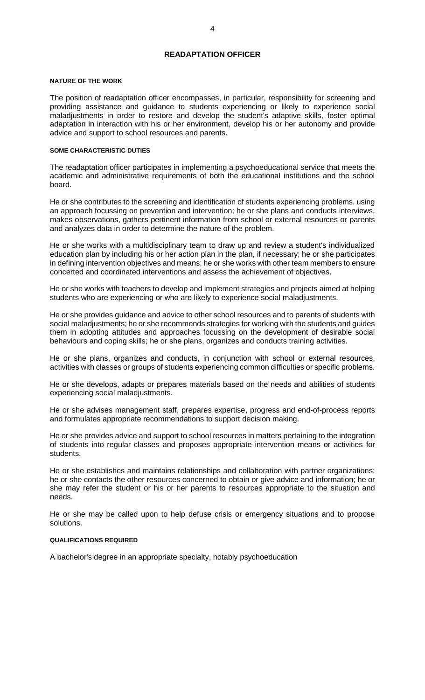# **READAPTATION OFFICER**

#### <span id="page-9-0"></span>**NATURE OF THE WORK**

The position of readaptation officer encompasses, in particular, responsibility for screening and providing assistance and guidance to students experiencing or likely to experience social maladjustments in order to restore and develop the student's adaptive skills, foster optimal adaptation in interaction with his or her environment, develop his or her autonomy and provide advice and support to school resources and parents.

#### **SOME CHARACTERISTIC DUTIES**

The readaptation officer participates in implementing a psychoeducational service that meets the academic and administrative requirements of both the educational institutions and the school board.

He or she contributes to the screening and identification of students experiencing problems, using an approach focussing on prevention and intervention; he or she plans and conducts interviews, makes observations, gathers pertinent information from school or external resources or parents and analyzes data in order to determine the nature of the problem.

He or she works with a multidisciplinary team to draw up and review a student's individualized education plan by including his or her action plan in the plan, if necessary; he or she participates in defining intervention objectives and means; he or she works with other team members to ensure concerted and coordinated interventions and assess the achievement of objectives.

He or she works with teachers to develop and implement strategies and projects aimed at helping students who are experiencing or who are likely to experience social maladjustments.

He or she provides guidance and advice to other school resources and to parents of students with social maladjustments; he or she recommends strategies for working with the students and guides them in adopting attitudes and approaches focussing on the development of desirable social behaviours and coping skills; he or she plans, organizes and conducts training activities.

He or she plans, organizes and conducts, in conjunction with school or external resources, activities with classes or groups of students experiencing common difficulties or specific problems.

He or she develops, adapts or prepares materials based on the needs and abilities of students experiencing social maladjustments.

He or she advises management staff, prepares expertise, progress and end-of-process reports and formulates appropriate recommendations to support decision making.

He or she provides advice and support to school resources in matters pertaining to the integration of students into regular classes and proposes appropriate intervention means or activities for students.

He or she establishes and maintains relationships and collaboration with partner organizations; he or she contacts the other resources concerned to obtain or give advice and information; he or she may refer the student or his or her parents to resources appropriate to the situation and needs.

He or she may be called upon to help defuse crisis or emergency situations and to propose solutions.

# **QUALIFICATIONS REQUIRED**

A bachelor's degree in an appropriate specialty, notably psychoeducation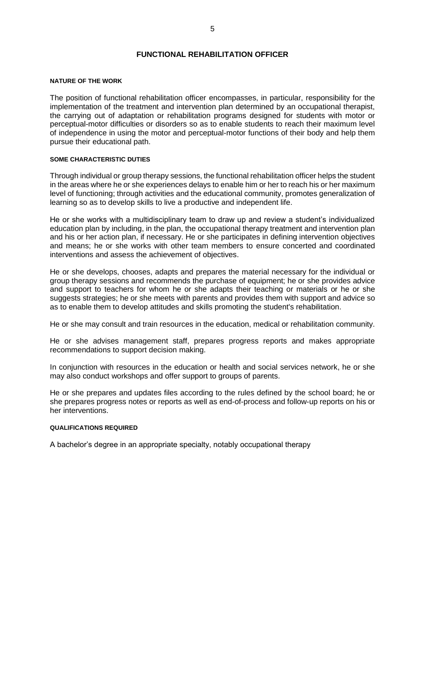# **FUNCTIONAL REHABILITATION OFFICER**

#### <span id="page-10-0"></span>**NATURE OF THE WORK**

The position of functional rehabilitation officer encompasses, in particular, responsibility for the implementation of the treatment and intervention plan determined by an occupational therapist, the carrying out of adaptation or rehabilitation programs designed for students with motor or perceptual-motor difficulties or disorders so as to enable students to reach their maximum level of independence in using the motor and perceptual-motor functions of their body and help them pursue their educational path.

# **SOME CHARACTERISTIC DUTIES**

Through individual or group therapy sessions, the functional rehabilitation officer helps the student in the areas where he or she experiences delays to enable him or her to reach his or her maximum level of functioning; through activities and the educational community, promotes generalization of learning so as to develop skills to live a productive and independent life.

He or she works with a multidisciplinary team to draw up and review a student's individualized education plan by including, in the plan, the occupational therapy treatment and intervention plan and his or her action plan, if necessary. He or she participates in defining intervention objectives and means; he or she works with other team members to ensure concerted and coordinated interventions and assess the achievement of objectives.

He or she develops, chooses, adapts and prepares the material necessary for the individual or group therapy sessions and recommends the purchase of equipment; he or she provides advice and support to teachers for whom he or she adapts their teaching or materials or he or she suggests strategies; he or she meets with parents and provides them with support and advice so as to enable them to develop attitudes and skills promoting the student's rehabilitation.

He or she may consult and train resources in the education, medical or rehabilitation community.

He or she advises management staff, prepares progress reports and makes appropriate recommendations to support decision making.

In conjunction with resources in the education or health and social services network, he or she may also conduct workshops and offer support to groups of parents.

He or she prepares and updates files according to the rules defined by the school board; he or she prepares progress notes or reports as well as end-of-process and follow-up reports on his or her interventions.

#### **QUALIFICATIONS REQUIRED**

A bachelor's degree in an appropriate specialty, notably occupational therapy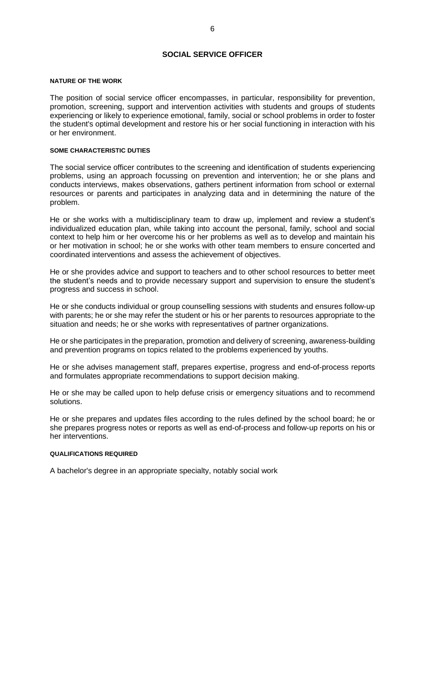# **SOCIAL SERVICE OFFICER**

#### <span id="page-11-0"></span>**NATURE OF THE WORK**

The position of social service officer encompasses, in particular, responsibility for prevention, promotion, screening, support and intervention activities with students and groups of students experiencing or likely to experience emotional, family, social or school problems in order to foster the student's optimal development and restore his or her social functioning in interaction with his or her environment.

#### **SOME CHARACTERISTIC DUTIES**

The social service officer contributes to the screening and identification of students experiencing problems, using an approach focussing on prevention and intervention; he or she plans and conducts interviews, makes observations, gathers pertinent information from school or external resources or parents and participates in analyzing data and in determining the nature of the problem.

He or she works with a multidisciplinary team to draw up, implement and review a student's individualized education plan, while taking into account the personal, family, school and social context to help him or her overcome his or her problems as well as to develop and maintain his or her motivation in school; he or she works with other team members to ensure concerted and coordinated interventions and assess the achievement of objectives.

He or she provides advice and support to teachers and to other school resources to better meet the student's needs and to provide necessary support and supervision to ensure the student's progress and success in school.

He or she conducts individual or group counselling sessions with students and ensures follow-up with parents; he or she may refer the student or his or her parents to resources appropriate to the situation and needs; he or she works with representatives of partner organizations.

He or she participates in the preparation, promotion and delivery of screening, awareness-building and prevention programs on topics related to the problems experienced by youths.

He or she advises management staff, prepares expertise, progress and end-of-process reports and formulates appropriate recommendations to support decision making.

He or she may be called upon to help defuse crisis or emergency situations and to recommend solutions.

He or she prepares and updates files according to the rules defined by the school board; he or she prepares progress notes or reports as well as end-of-process and follow-up reports on his or her interventions.

# **QUALIFICATIONS REQUIRED**

A bachelor's degree in an appropriate specialty, notably social work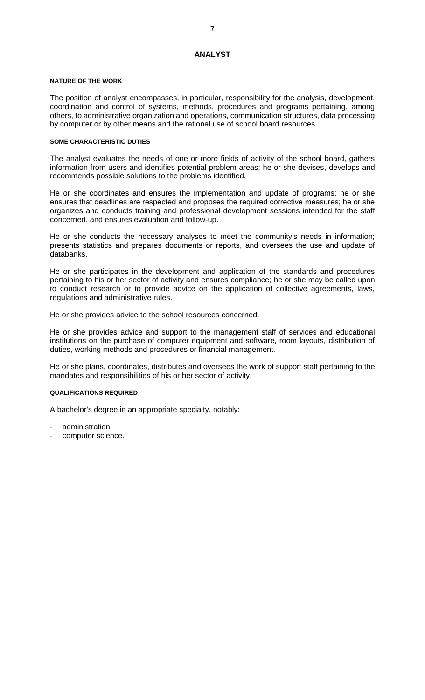# **ANALYST**

#### <span id="page-12-0"></span>**NATURE OF THE WORK**

The position of analyst encompasses, in particular, responsibility for the analysis, development, coordination and control of systems, methods, procedures and programs pertaining, among others, to administrative organization and operations, communication structures, data processing by computer or by other means and the rational use of school board resources.

# **SOME CHARACTERISTIC DUTIES**

The analyst evaluates the needs of one or more fields of activity of the school board, gathers information from users and identifies potential problem areas; he or she devises, develops and recommends possible solutions to the problems identified.

He or she coordinates and ensures the implementation and update of programs; he or she ensures that deadlines are respected and proposes the required corrective measures; he or she organizes and conducts training and professional development sessions intended for the staff concerned, and ensures evaluation and follow-up.

He or she conducts the necessary analyses to meet the community's needs in information; presents statistics and prepares documents or reports, and oversees the use and update of databanks.

He or she participates in the development and application of the standards and procedures pertaining to his or her sector of activity and ensures compliance; he or she may be called upon to conduct research or to provide advice on the application of collective agreements, laws, regulations and administrative rules.

He or she provides advice to the school resources concerned.

He or she provides advice and support to the management staff of services and educational institutions on the purchase of computer equipment and software, room layouts, distribution of duties, working methods and procedures or financial management.

He or she plans, coordinates, distributes and oversees the work of support staff pertaining to the mandates and responsibilities of his or her sector of activity.

# **QUALIFICATIONS REQUIRED**

- administration;
- computer science.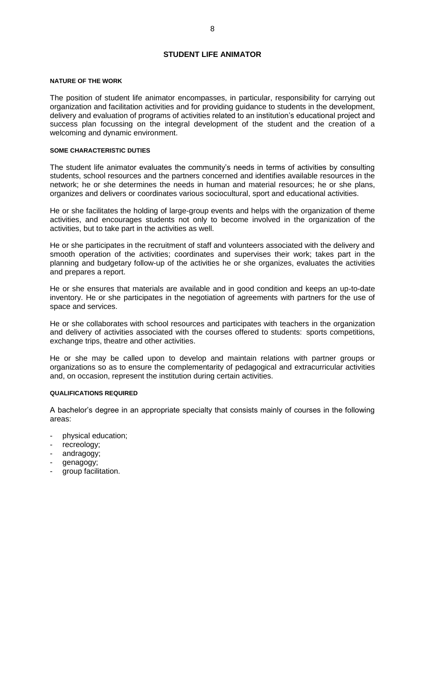# **STUDENT LIFE ANIMATOR**

#### <span id="page-13-0"></span>**NATURE OF THE WORK**

The position of student life animator encompasses, in particular, responsibility for carrying out organization and facilitation activities and for providing guidance to students in the development, delivery and evaluation of programs of activities related to an institution's educational project and success plan focussing on the integral development of the student and the creation of a welcoming and dynamic environment.

# **SOME CHARACTERISTIC DUTIES**

The student life animator evaluates the community's needs in terms of activities by consulting students, school resources and the partners concerned and identifies available resources in the network; he or she determines the needs in human and material resources; he or she plans, organizes and delivers or coordinates various sociocultural, sport and educational activities.

He or she facilitates the holding of large-group events and helps with the organization of theme activities, and encourages students not only to become involved in the organization of the activities, but to take part in the activities as well.

He or she participates in the recruitment of staff and volunteers associated with the delivery and smooth operation of the activities; coordinates and supervises their work; takes part in the planning and budgetary follow-up of the activities he or she organizes, evaluates the activities and prepares a report.

He or she ensures that materials are available and in good condition and keeps an up-to-date inventory. He or she participates in the negotiation of agreements with partners for the use of space and services.

He or she collaborates with school resources and participates with teachers in the organization and delivery of activities associated with the courses offered to students: sports competitions, exchange trips, theatre and other activities.

He or she may be called upon to develop and maintain relations with partner groups or organizations so as to ensure the complementarity of pedagogical and extracurricular activities and, on occasion, represent the institution during certain activities.

# **QUALIFICATIONS REQUIRED**

A bachelor's degree in an appropriate specialty that consists mainly of courses in the following areas:

- physical education;
- recreology;
- andragogy;
- genagogy;
- group facilitation.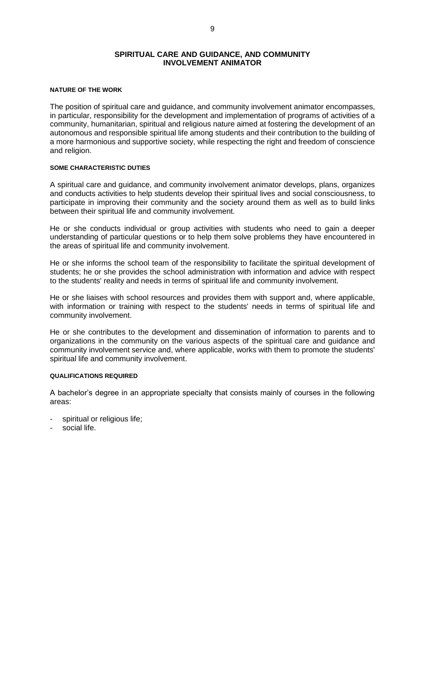# **SPIRITUAL CARE AND GUIDANCE, AND COMMUNITY INVOLVEMENT ANIMATOR**

# <span id="page-14-0"></span>**NATURE OF THE WORK**

The position of spiritual care and guidance, and community involvement animator encompasses, in particular, responsibility for the development and implementation of programs of activities of a community, humanitarian, spiritual and religious nature aimed at fostering the development of an autonomous and responsible spiritual life among students and their contribution to the building of a more harmonious and supportive society, while respecting the right and freedom of conscience and religion.

#### **SOME CHARACTERISTIC DUTIES**

A spiritual care and guidance, and community involvement animator develops, plans, organizes and conducts activities to help students develop their spiritual lives and social consciousness, to participate in improving their community and the society around them as well as to build links between their spiritual life and community involvement.

He or she conducts individual or group activities with students who need to gain a deeper understanding of particular questions or to help them solve problems they have encountered in the areas of spiritual life and community involvement.

He or she informs the school team of the responsibility to facilitate the spiritual development of students; he or she provides the school administration with information and advice with respect to the students' reality and needs in terms of spiritual life and community involvement.

He or she liaises with school resources and provides them with support and, where applicable, with information or training with respect to the students' needs in terms of spiritual life and community involvement.

He or she contributes to the development and dissemination of information to parents and to organizations in the community on the various aspects of the spiritual care and guidance and community involvement service and, where applicable, works with them to promote the students' spiritual life and community involvement.

# **QUALIFICATIONS REQUIRED**

A bachelor's degree in an appropriate specialty that consists mainly of courses in the following areas:

- spiritual or religious life;
- social life.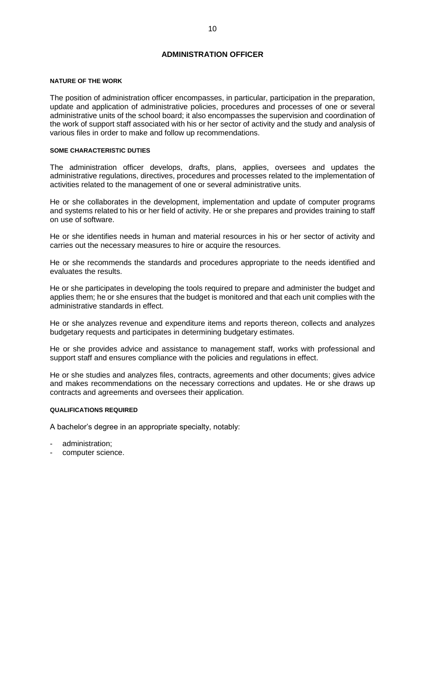# **ADMINISTRATION OFFICER**

#### <span id="page-15-0"></span>**NATURE OF THE WORK**

The position of administration officer encompasses, in particular, participation in the preparation, update and application of administrative policies, procedures and processes of one or several administrative units of the school board; it also encompasses the supervision and coordination of the work of support staff associated with his or her sector of activity and the study and analysis of various files in order to make and follow up recommendations.

#### **SOME CHARACTERISTIC DUTIES**

The administration officer develops, drafts, plans, applies, oversees and updates the administrative regulations, directives, procedures and processes related to the implementation of activities related to the management of one or several administrative units.

He or she collaborates in the development, implementation and update of computer programs and systems related to his or her field of activity. He or she prepares and provides training to staff on use of software.

He or she identifies needs in human and material resources in his or her sector of activity and carries out the necessary measures to hire or acquire the resources.

He or she recommends the standards and procedures appropriate to the needs identified and evaluates the results.

He or she participates in developing the tools required to prepare and administer the budget and applies them; he or she ensures that the budget is monitored and that each unit complies with the administrative standards in effect.

He or she analyzes revenue and expenditure items and reports thereon, collects and analyzes budgetary requests and participates in determining budgetary estimates.

He or she provides advice and assistance to management staff, works with professional and support staff and ensures compliance with the policies and regulations in effect.

He or she studies and analyzes files, contracts, agreements and other documents; gives advice and makes recommendations on the necessary corrections and updates. He or she draws up contracts and agreements and oversees their application.

# **QUALIFICATIONS REQUIRED**

- administration;
- computer science.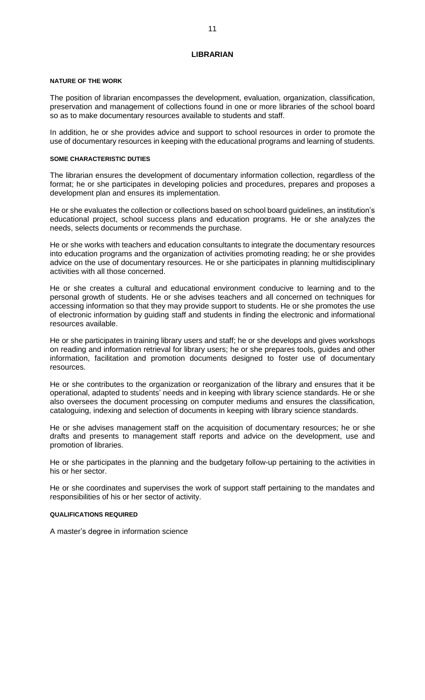# **LIBRARIAN**

#### <span id="page-16-0"></span>**NATURE OF THE WORK**

The position of librarian encompasses the development, evaluation, organization, classification, preservation and management of collections found in one or more libraries of the school board so as to make documentary resources available to students and staff.

In addition, he or she provides advice and support to school resources in order to promote the use of documentary resources in keeping with the educational programs and learning of students.

#### **SOME CHARACTERISTIC DUTIES**

The librarian ensures the development of documentary information collection, regardless of the format; he or she participates in developing policies and procedures, prepares and proposes a development plan and ensures its implementation.

He or she evaluates the collection or collections based on school board guidelines, an institution's educational project, school success plans and education programs. He or she analyzes the needs, selects documents or recommends the purchase.

He or she works with teachers and education consultants to integrate the documentary resources into education programs and the organization of activities promoting reading; he or she provides advice on the use of documentary resources. He or she participates in planning multidisciplinary activities with all those concerned.

He or she creates a cultural and educational environment conducive to learning and to the personal growth of students. He or she advises teachers and all concerned on techniques for accessing information so that they may provide support to students. He or she promotes the use of electronic information by guiding staff and students in finding the electronic and informational resources available.

He or she participates in training library users and staff; he or she develops and gives workshops on reading and information retrieval for library users; he or she prepares tools, guides and other information, facilitation and promotion documents designed to foster use of documentary resources.

He or she contributes to the organization or reorganization of the library and ensures that it be operational, adapted to students' needs and in keeping with library science standards. He or she also oversees the document processing on computer mediums and ensures the classification, cataloguing, indexing and selection of documents in keeping with library science standards.

He or she advises management staff on the acquisition of documentary resources; he or she drafts and presents to management staff reports and advice on the development, use and promotion of libraries.

He or she participates in the planning and the budgetary follow-up pertaining to the activities in his or her sector.

He or she coordinates and supervises the work of support staff pertaining to the mandates and responsibilities of his or her sector of activity.

# **QUALIFICATIONS REQUIRED**

A master's degree in information science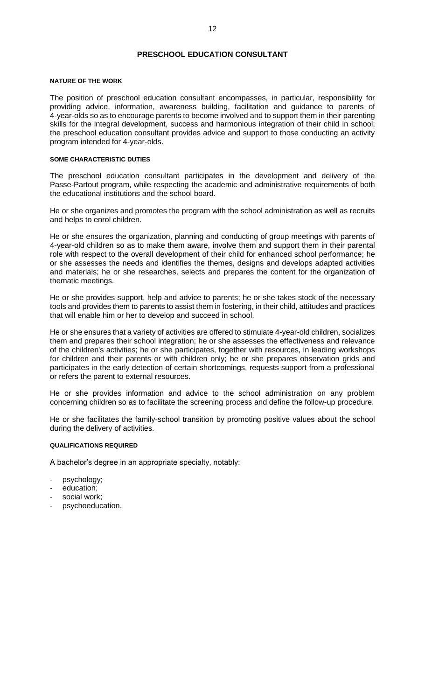# **PRESCHOOL EDUCATION CONSULTANT**

#### <span id="page-17-0"></span>**NATURE OF THE WORK**

The position of preschool education consultant encompasses, in particular, responsibility for providing advice, information, awareness building, facilitation and guidance to parents of 4-year-olds so as to encourage parents to become involved and to support them in their parenting skills for the integral development, success and harmonious integration of their child in school; the preschool education consultant provides advice and support to those conducting an activity program intended for 4-year-olds.

# **SOME CHARACTERISTIC DUTIES**

The preschool education consultant participates in the development and delivery of the Passe-Partout program, while respecting the academic and administrative requirements of both the educational institutions and the school board.

He or she organizes and promotes the program with the school administration as well as recruits and helps to enrol children.

He or she ensures the organization, planning and conducting of group meetings with parents of 4-year-old children so as to make them aware, involve them and support them in their parental role with respect to the overall development of their child for enhanced school performance; he or she assesses the needs and identifies the themes, designs and develops adapted activities and materials; he or she researches, selects and prepares the content for the organization of thematic meetings.

He or she provides support, help and advice to parents; he or she takes stock of the necessary tools and provides them to parents to assist them in fostering, in their child, attitudes and practices that will enable him or her to develop and succeed in school.

He or she ensures that a variety of activities are offered to stimulate 4-year-old children, socializes them and prepares their school integration; he or she assesses the effectiveness and relevance of the children's activities; he or she participates, together with resources, in leading workshops for children and their parents or with children only; he or she prepares observation grids and participates in the early detection of certain shortcomings, requests support from a professional or refers the parent to external resources.

He or she provides information and advice to the school administration on any problem concerning children so as to facilitate the screening process and define the follow-up procedure.

He or she facilitates the family-school transition by promoting positive values about the school during the delivery of activities.

#### **QUALIFICATIONS REQUIRED**

- psychology;
- education;
- social work;
- psychoeducation.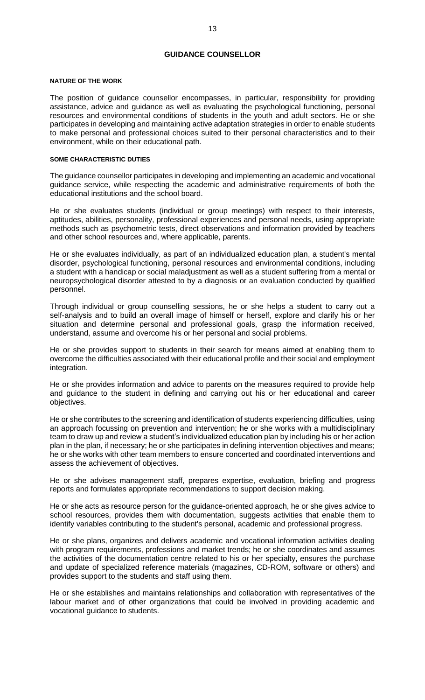# **GUIDANCE COUNSELLOR**

#### <span id="page-18-0"></span>**NATURE OF THE WORK**

The position of guidance counsellor encompasses, in particular, responsibility for providing assistance, advice and guidance as well as evaluating the psychological functioning, personal resources and environmental conditions of students in the youth and adult sectors. He or she participates in developing and maintaining active adaptation strategies in order to enable students to make personal and professional choices suited to their personal characteristics and to their environment, while on their educational path.

# **SOME CHARACTERISTIC DUTIES**

The guidance counsellor participates in developing and implementing an academic and vocational guidance service, while respecting the academic and administrative requirements of both the educational institutions and the school board.

He or she evaluates students (individual or group meetings) with respect to their interests, aptitudes, abilities, personality, professional experiences and personal needs, using appropriate methods such as psychometric tests, direct observations and information provided by teachers and other school resources and, where applicable, parents.

He or she evaluates individually, as part of an individualized education plan, a student's mental disorder, psychological functioning, personal resources and environmental conditions, including a student with a handicap or social maladjustment as well as a student suffering from a mental or neuropsychological disorder attested to by a diagnosis or an evaluation conducted by qualified personnel.

Through individual or group counselling sessions, he or she helps a student to carry out a self-analysis and to build an overall image of himself or herself, explore and clarify his or her situation and determine personal and professional goals, grasp the information received, understand, assume and overcome his or her personal and social problems.

He or she provides support to students in their search for means aimed at enabling them to overcome the difficulties associated with their educational profile and their social and employment integration.

He or she provides information and advice to parents on the measures required to provide help and guidance to the student in defining and carrying out his or her educational and career objectives.

He or she contributes to the screening and identification of students experiencing difficulties, using an approach focussing on prevention and intervention; he or she works with a multidisciplinary team to draw up and review a student's individualized education plan by including his or her action plan in the plan, if necessary; he or she participates in defining intervention objectives and means; he or she works with other team members to ensure concerted and coordinated interventions and assess the achievement of objectives.

He or she advises management staff, prepares expertise, evaluation, briefing and progress reports and formulates appropriate recommendations to support decision making.

He or she acts as resource person for the guidance-oriented approach, he or she gives advice to school resources, provides them with documentation, suggests activities that enable them to identify variables contributing to the student's personal, academic and professional progress.

He or she plans, organizes and delivers academic and vocational information activities dealing with program requirements, professions and market trends; he or she coordinates and assumes the activities of the documentation centre related to his or her specialty, ensures the purchase and update of specialized reference materials (magazines, CD-ROM, software or others) and provides support to the students and staff using them.

He or she establishes and maintains relationships and collaboration with representatives of the labour market and of other organizations that could be involved in providing academic and vocational guidance to students.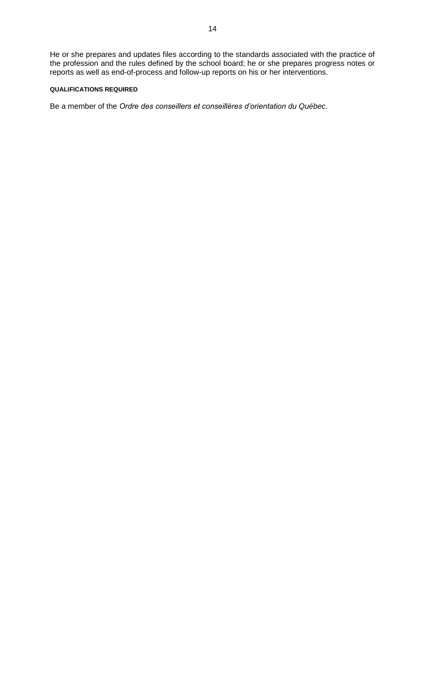# **QUALIFICATIONS REQUIRED**

Be a member of the *Ordre des conseillers et conseillères d'orientation du Québec*.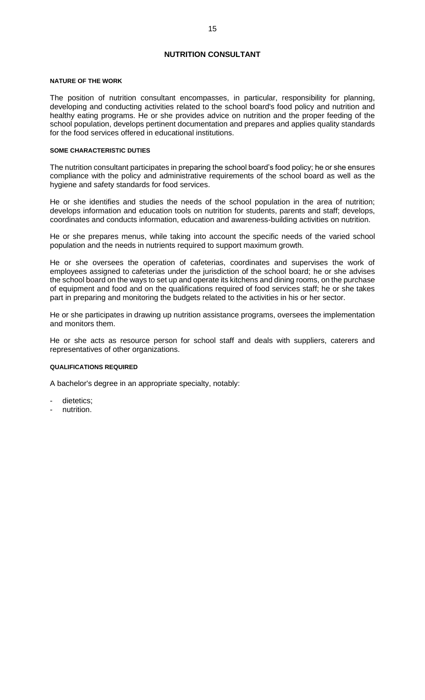# **NUTRITION CONSULTANT**

#### <span id="page-20-0"></span>**NATURE OF THE WORK**

The position of nutrition consultant encompasses, in particular, responsibility for planning, developing and conducting activities related to the school board's food policy and nutrition and healthy eating programs. He or she provides advice on nutrition and the proper feeding of the school population, develops pertinent documentation and prepares and applies quality standards for the food services offered in educational institutions.

#### **SOME CHARACTERISTIC DUTIES**

The nutrition consultant participates in preparing the school board's food policy; he or she ensures compliance with the policy and administrative requirements of the school board as well as the hygiene and safety standards for food services.

He or she identifies and studies the needs of the school population in the area of nutrition; develops information and education tools on nutrition for students, parents and staff; develops, coordinates and conducts information, education and awareness-building activities on nutrition.

He or she prepares menus, while taking into account the specific needs of the varied school population and the needs in nutrients required to support maximum growth.

He or she oversees the operation of cafeterias, coordinates and supervises the work of employees assigned to cafeterias under the jurisdiction of the school board; he or she advises the school board on the ways to set up and operate its kitchens and dining rooms, on the purchase of equipment and food and on the qualifications required of food services staff; he or she takes part in preparing and monitoring the budgets related to the activities in his or her sector.

He or she participates in drawing up nutrition assistance programs, oversees the implementation and monitors them.

He or she acts as resource person for school staff and deals with suppliers, caterers and representatives of other organizations.

# **QUALIFICATIONS REQUIRED**

- dietetics;
- nutrition.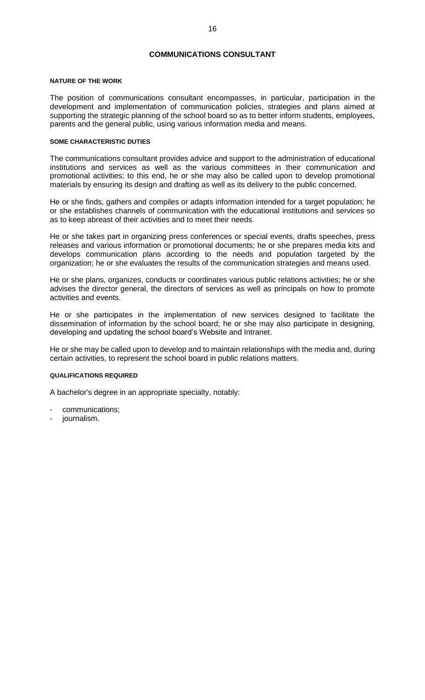# **COMMUNICATIONS CONSULTANT**

#### <span id="page-21-0"></span>**NATURE OF THE WORK**

The position of communications consultant encompasses, in particular, participation in the development and implementation of communication policies, strategies and plans aimed at supporting the strategic planning of the school board so as to better inform students, employees, parents and the general public, using various information media and means.

# **SOME CHARACTERISTIC DUTIES**

The communications consultant provides advice and support to the administration of educational institutions and services as well as the various committees in their communication and promotional activities; to this end, he or she may also be called upon to develop promotional materials by ensuring its design and drafting as well as its delivery to the public concerned.

He or she finds, gathers and compiles or adapts information intended for a target population; he or she establishes channels of communication with the educational institutions and services so as to keep abreast of their activities and to meet their needs.

He or she takes part in organizing press conferences or special events, drafts speeches, press releases and various information or promotional documents; he or she prepares media kits and develops communication plans according to the needs and population targeted by the organization; he or she evaluates the results of the communication strategies and means used.

He or she plans, organizes, conducts or coordinates various public relations activities; he or she advises the director general, the directors of services as well as principals on how to promote activities and events.

He or she participates in the implementation of new services designed to facilitate the dissemination of information by the school board; he or she may also participate in designing, developing and updating the school board's Website and Intranet.

He or she may be called upon to develop and to maintain relationships with the media and, during certain activities, to represent the school board in public relations matters.

# **QUALIFICATIONS REQUIRED**

- communications;
- journalism.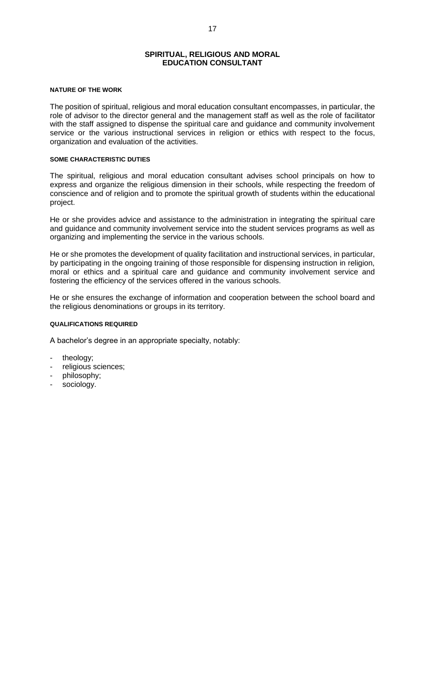# **SPIRITUAL, RELIGIOUS AND MORAL EDUCATION CONSULTANT**

# <span id="page-22-0"></span>**NATURE OF THE WORK**

The position of spiritual, religious and moral education consultant encompasses, in particular, the role of advisor to the director general and the management staff as well as the role of facilitator with the staff assigned to dispense the spiritual care and guidance and community involvement service or the various instructional services in religion or ethics with respect to the focus, organization and evaluation of the activities.

### **SOME CHARACTERISTIC DUTIES**

The spiritual, religious and moral education consultant advises school principals on how to express and organize the religious dimension in their schools, while respecting the freedom of conscience and of religion and to promote the spiritual growth of students within the educational project.

He or she provides advice and assistance to the administration in integrating the spiritual care and guidance and community involvement service into the student services programs as well as organizing and implementing the service in the various schools.

He or she promotes the development of quality facilitation and instructional services, in particular, by participating in the ongoing training of those responsible for dispensing instruction in religion, moral or ethics and a spiritual care and guidance and community involvement service and fostering the efficiency of the services offered in the various schools.

He or she ensures the exchange of information and cooperation between the school board and the religious denominations or groups in its territory.

# **QUALIFICATIONS REQUIRED**

- theology;
- religious sciences;
- philosophy;
- sociology.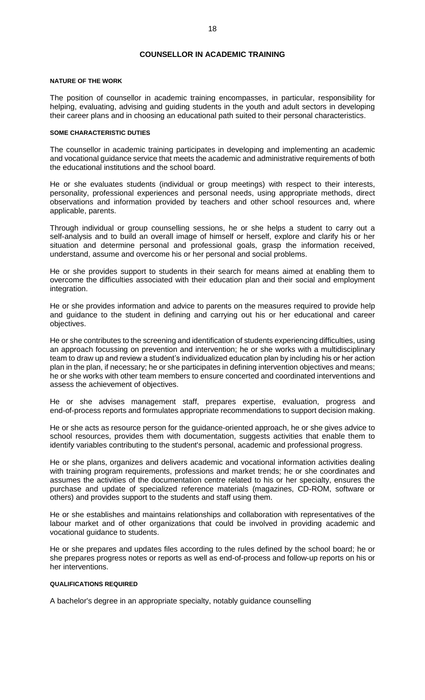# **COUNSELLOR IN ACADEMIC TRAINING**

#### <span id="page-23-0"></span>**NATURE OF THE WORK**

The position of counsellor in academic training encompasses, in particular, responsibility for helping, evaluating, advising and guiding students in the youth and adult sectors in developing their career plans and in choosing an educational path suited to their personal characteristics.

#### **SOME CHARACTERISTIC DUTIES**

The counsellor in academic training participates in developing and implementing an academic and vocational guidance service that meets the academic and administrative requirements of both the educational institutions and the school board.

He or she evaluates students (individual or group meetings) with respect to their interests, personality, professional experiences and personal needs, using appropriate methods, direct observations and information provided by teachers and other school resources and, where applicable, parents.

Through individual or group counselling sessions, he or she helps a student to carry out a self-analysis and to build an overall image of himself or herself, explore and clarify his or her situation and determine personal and professional goals, grasp the information received, understand, assume and overcome his or her personal and social problems.

He or she provides support to students in their search for means aimed at enabling them to overcome the difficulties associated with their education plan and their social and employment integration.

He or she provides information and advice to parents on the measures required to provide help and guidance to the student in defining and carrying out his or her educational and career objectives.

He or she contributes to the screening and identification of students experiencing difficulties, using an approach focussing on prevention and intervention; he or she works with a multidisciplinary team to draw up and review a student's individualized education plan by including his or her action plan in the plan, if necessary; he or she participates in defining intervention objectives and means; he or she works with other team members to ensure concerted and coordinated interventions and assess the achievement of objectives.

He or she advises management staff, prepares expertise, evaluation, progress and end-of-process reports and formulates appropriate recommendations to support decision making.

He or she acts as resource person for the guidance-oriented approach, he or she gives advice to school resources, provides them with documentation, suggests activities that enable them to identify variables contributing to the student's personal, academic and professional progress.

He or she plans, organizes and delivers academic and vocational information activities dealing with training program requirements, professions and market trends; he or she coordinates and assumes the activities of the documentation centre related to his or her specialty, ensures the purchase and update of specialized reference materials (magazines, CD-ROM, software or others) and provides support to the students and staff using them.

He or she establishes and maintains relationships and collaboration with representatives of the labour market and of other organizations that could be involved in providing academic and vocational guidance to students.

He or she prepares and updates files according to the rules defined by the school board; he or she prepares progress notes or reports as well as end-of-process and follow-up reports on his or her interventions.

# **QUALIFICATIONS REQUIRED**

A bachelor's degree in an appropriate specialty, notably guidance counselling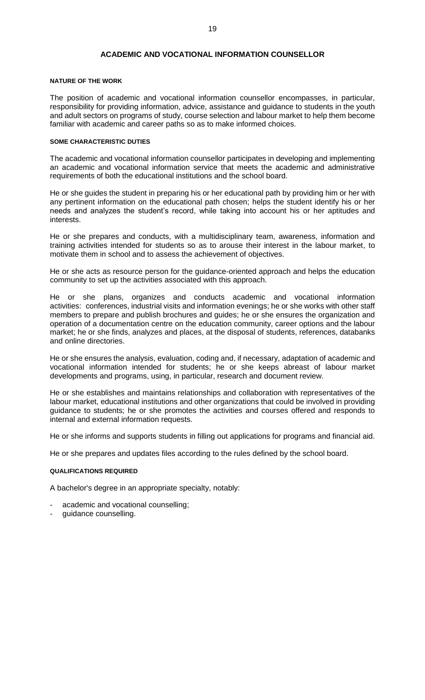# **ACADEMIC AND VOCATIONAL INFORMATION COUNSELLOR**

# <span id="page-24-0"></span>**NATURE OF THE WORK**

The position of academic and vocational information counsellor encompasses, in particular, responsibility for providing information, advice, assistance and guidance to students in the youth and adult sectors on programs of study, course selection and labour market to help them become familiar with academic and career paths so as to make informed choices.

#### **SOME CHARACTERISTIC DUTIES**

The academic and vocational information counsellor participates in developing and implementing an academic and vocational information service that meets the academic and administrative requirements of both the educational institutions and the school board.

He or she guides the student in preparing his or her educational path by providing him or her with any pertinent information on the educational path chosen; helps the student identify his or her needs and analyzes the student's record, while taking into account his or her aptitudes and interests.

He or she prepares and conducts, with a multidisciplinary team, awareness, information and training activities intended for students so as to arouse their interest in the labour market, to motivate them in school and to assess the achievement of objectives.

He or she acts as resource person for the guidance-oriented approach and helps the education community to set up the activities associated with this approach.

He or she plans, organizes and conducts academic and vocational information activities: conferences, industrial visits and information evenings; he or she works with other staff members to prepare and publish brochures and guides; he or she ensures the organization and operation of a documentation centre on the education community, career options and the labour market; he or she finds, analyzes and places, at the disposal of students, references, databanks and online directories.

He or she ensures the analysis, evaluation, coding and, if necessary, adaptation of academic and vocational information intended for students; he or she keeps abreast of labour market developments and programs, using, in particular, research and document review.

He or she establishes and maintains relationships and collaboration with representatives of the labour market, educational institutions and other organizations that could be involved in providing guidance to students; he or she promotes the activities and courses offered and responds to internal and external information requests.

He or she informs and supports students in filling out applications for programs and financial aid.

He or she prepares and updates files according to the rules defined by the school board.

#### **QUALIFICATIONS REQUIRED**

- academic and vocational counselling;
- guidance counselling.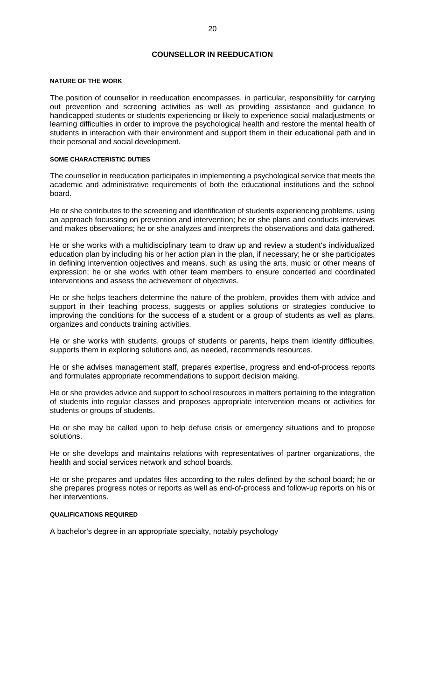# **COUNSELLOR IN REEDUCATION**

#### <span id="page-25-0"></span>**NATURE OF THE WORK**

The position of counsellor in reeducation encompasses, in particular, responsibility for carrying out prevention and screening activities as well as providing assistance and guidance to handicapped students or students experiencing or likely to experience social maladjustments or learning difficulties in order to improve the psychological health and restore the mental health of students in interaction with their environment and support them in their educational path and in their personal and social development.

# **SOME CHARACTERISTIC DUTIES**

The counsellor in reeducation participates in implementing a psychological service that meets the academic and administrative requirements of both the educational institutions and the school board.

He or she contributes to the screening and identification of students experiencing problems, using an approach focussing on prevention and intervention; he or she plans and conducts interviews and makes observations; he or she analyzes and interprets the observations and data gathered.

He or she works with a multidisciplinary team to draw up and review a student's individualized education plan by including his or her action plan in the plan, if necessary; he or she participates in defining intervention objectives and means, such as using the arts, music or other means of expression; he or she works with other team members to ensure concerted and coordinated interventions and assess the achievement of objectives.

He or she helps teachers determine the nature of the problem, provides them with advice and support in their teaching process, suggests or applies solutions or strategies conducive to improving the conditions for the success of a student or a group of students as well as plans, organizes and conducts training activities.

He or she works with students, groups of students or parents, helps them identify difficulties, supports them in exploring solutions and, as needed, recommends resources.

He or she advises management staff, prepares expertise, progress and end-of-process reports and formulates appropriate recommendations to support decision making.

He or she provides advice and support to school resources in matters pertaining to the integration of students into regular classes and proposes appropriate intervention means or activities for students or groups of students.

He or she may be called upon to help defuse crisis or emergency situations and to propose solutions.

He or she develops and maintains relations with representatives of partner organizations, the health and social services network and school boards.

He or she prepares and updates files according to the rules defined by the school board; he or she prepares progress notes or reports as well as end-of-process and follow-up reports on his or her interventions.

#### **QUALIFICATIONS REQUIRED**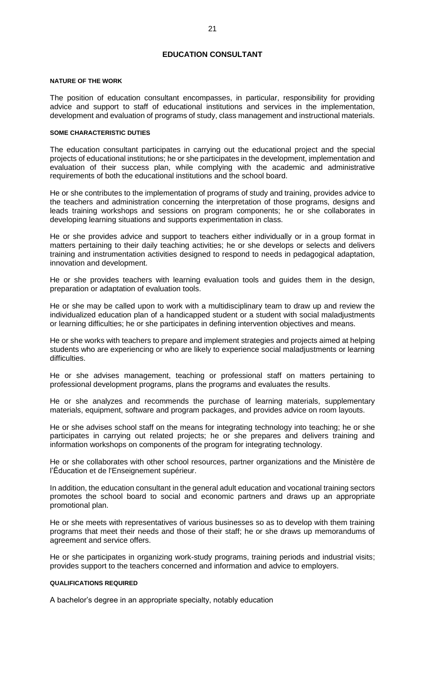# **EDUCATION CONSULTANT**

#### <span id="page-26-0"></span>**NATURE OF THE WORK**

The position of education consultant encompasses, in particular, responsibility for providing advice and support to staff of educational institutions and services in the implementation, development and evaluation of programs of study, class management and instructional materials.

#### **SOME CHARACTERISTIC DUTIES**

The education consultant participates in carrying out the educational project and the special projects of educational institutions; he or she participates in the development, implementation and evaluation of their success plan, while complying with the academic and administrative requirements of both the educational institutions and the school board.

He or she contributes to the implementation of programs of study and training, provides advice to the teachers and administration concerning the interpretation of those programs, designs and leads training workshops and sessions on program components; he or she collaborates in developing learning situations and supports experimentation in class.

He or she provides advice and support to teachers either individually or in a group format in matters pertaining to their daily teaching activities; he or she develops or selects and delivers training and instrumentation activities designed to respond to needs in pedagogical adaptation, innovation and development.

He or she provides teachers with learning evaluation tools and guides them in the design, preparation or adaptation of evaluation tools.

He or she may be called upon to work with a multidisciplinary team to draw up and review the individualized education plan of a handicapped student or a student with social maladjustments or learning difficulties; he or she participates in defining intervention objectives and means.

He or she works with teachers to prepare and implement strategies and projects aimed at helping students who are experiencing or who are likely to experience social maladjustments or learning difficulties.

He or she advises management, teaching or professional staff on matters pertaining to professional development programs, plans the programs and evaluates the results.

He or she analyzes and recommends the purchase of learning materials, supplementary materials, equipment, software and program packages, and provides advice on room layouts.

He or she advises school staff on the means for integrating technology into teaching; he or she participates in carrying out related projects; he or she prepares and delivers training and information workshops on components of the program for integrating technology.

He or she collaborates with other school resources, partner organizations and the Ministère de l'Éducation et de l'Enseignement supérieur.

In addition, the education consultant in the general adult education and vocational training sectors promotes the school board to social and economic partners and draws up an appropriate promotional plan.

He or she meets with representatives of various businesses so as to develop with them training programs that meet their needs and those of their staff; he or she draws up memorandums of agreement and service offers.

He or she participates in organizing work-study programs, training periods and industrial visits; provides support to the teachers concerned and information and advice to employers.

#### **QUALIFICATIONS REQUIRED**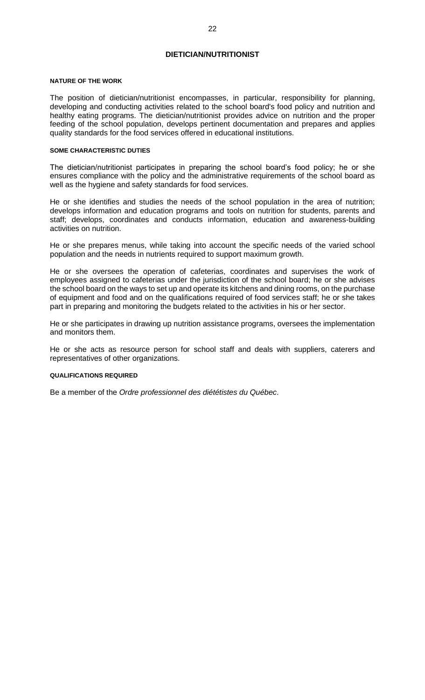# **DIETICIAN/NUTRITIONIST**

#### <span id="page-27-0"></span>**NATURE OF THE WORK**

The position of dietician/nutritionist encompasses, in particular, responsibility for planning, developing and conducting activities related to the school board's food policy and nutrition and healthy eating programs. The dietician/nutritionist provides advice on nutrition and the proper feeding of the school population, develops pertinent documentation and prepares and applies quality standards for the food services offered in educational institutions.

#### **SOME CHARACTERISTIC DUTIES**

The dietician/nutritionist participates in preparing the school board's food policy; he or she ensures compliance with the policy and the administrative requirements of the school board as well as the hygiene and safety standards for food services.

He or she identifies and studies the needs of the school population in the area of nutrition; develops information and education programs and tools on nutrition for students, parents and staff; develops, coordinates and conducts information, education and awareness-building activities on nutrition.

He or she prepares menus, while taking into account the specific needs of the varied school population and the needs in nutrients required to support maximum growth.

He or she oversees the operation of cafeterias, coordinates and supervises the work of employees assigned to cafeterias under the jurisdiction of the school board; he or she advises the school board on the ways to set up and operate its kitchens and dining rooms, on the purchase of equipment and food and on the qualifications required of food services staff; he or she takes part in preparing and monitoring the budgets related to the activities in his or her sector.

He or she participates in drawing up nutrition assistance programs, oversees the implementation and monitors them.

He or she acts as resource person for school staff and deals with suppliers, caterers and representatives of other organizations.

# **QUALIFICATIONS REQUIRED**

Be a member of the *Ordre professionnel des diététistes du Québec*.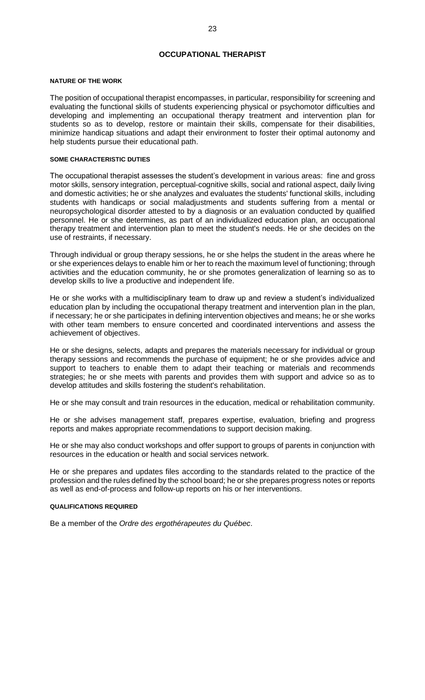# **OCCUPATIONAL THERAPIST**

#### <span id="page-28-0"></span>**NATURE OF THE WORK**

The position of occupational therapist encompasses, in particular, responsibility for screening and evaluating the functional skills of students experiencing physical or psychomotor difficulties and developing and implementing an occupational therapy treatment and intervention plan for students so as to develop, restore or maintain their skills, compensate for their disabilities, minimize handicap situations and adapt their environment to foster their optimal autonomy and help students pursue their educational path.

#### **SOME CHARACTERISTIC DUTIES**

The occupational therapist assesses the student's development in various areas: fine and gross motor skills, sensory integration, perceptual-cognitive skills, social and rational aspect, daily living and domestic activities; he or she analyzes and evaluates the students' functional skills, including students with handicaps or social maladjustments and students suffering from a mental or neuropsychological disorder attested to by a diagnosis or an evaluation conducted by qualified personnel. He or she determines, as part of an individualized education plan, an occupational therapy treatment and intervention plan to meet the student's needs. He or she decides on the use of restraints, if necessary.

Through individual or group therapy sessions, he or she helps the student in the areas where he or she experiences delays to enable him or her to reach the maximum level of functioning; through activities and the education community, he or she promotes generalization of learning so as to develop skills to live a productive and independent life.

He or she works with a multidisciplinary team to draw up and review a student's individualized education plan by including the occupational therapy treatment and intervention plan in the plan, if necessary; he or she participates in defining intervention objectives and means; he or she works with other team members to ensure concerted and coordinated interventions and assess the achievement of objectives.

He or she designs, selects, adapts and prepares the materials necessary for individual or group therapy sessions and recommends the purchase of equipment; he or she provides advice and support to teachers to enable them to adapt their teaching or materials and recommends strategies; he or she meets with parents and provides them with support and advice so as to develop attitudes and skills fostering the student's rehabilitation.

He or she may consult and train resources in the education, medical or rehabilitation community.

He or she advises management staff, prepares expertise, evaluation, briefing and progress reports and makes appropriate recommendations to support decision making.

He or she may also conduct workshops and offer support to groups of parents in conjunction with resources in the education or health and social services network.

He or she prepares and updates files according to the standards related to the practice of the profession and the rules defined by the school board; he or she prepares progress notes or reports as well as end-of-process and follow-up reports on his or her interventions.

# **QUALIFICATIONS REQUIRED**

Be a member of the *Ordre des ergothérapeutes du Québec*.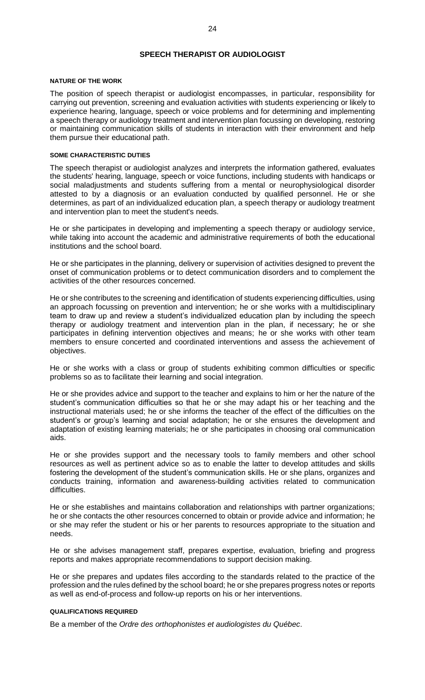# **SPEECH THERAPIST OR AUDIOLOGIST**

#### <span id="page-29-0"></span>**NATURE OF THE WORK**

The position of speech therapist or audiologist encompasses, in particular, responsibility for carrying out prevention, screening and evaluation activities with students experiencing or likely to experience hearing, language, speech or voice problems and for determining and implementing a speech therapy or audiology treatment and intervention plan focussing on developing, restoring or maintaining communication skills of students in interaction with their environment and help them pursue their educational path.

#### **SOME CHARACTERISTIC DUTIES**

The speech therapist or audiologist analyzes and interprets the information gathered, evaluates the students' hearing, language, speech or voice functions, including students with handicaps or social maladjustments and students suffering from a mental or neurophysiological disorder attested to by a diagnosis or an evaluation conducted by qualified personnel. He or she determines, as part of an individualized education plan, a speech therapy or audiology treatment and intervention plan to meet the student's needs.

He or she participates in developing and implementing a speech therapy or audiology service, while taking into account the academic and administrative requirements of both the educational institutions and the school board.

He or she participates in the planning, delivery or supervision of activities designed to prevent the onset of communication problems or to detect communication disorders and to complement the activities of the other resources concerned.

He or she contributes to the screening and identification of students experiencing difficulties, using an approach focussing on prevention and intervention; he or she works with a multidisciplinary team to draw up and review a student's individualized education plan by including the speech therapy or audiology treatment and intervention plan in the plan, if necessary; he or she participates in defining intervention objectives and means; he or she works with other team members to ensure concerted and coordinated interventions and assess the achievement of objectives.

He or she works with a class or group of students exhibiting common difficulties or specific problems so as to facilitate their learning and social integration.

He or she provides advice and support to the teacher and explains to him or her the nature of the student's communication difficulties so that he or she may adapt his or her teaching and the instructional materials used; he or she informs the teacher of the effect of the difficulties on the student's or group's learning and social adaptation; he or she ensures the development and adaptation of existing learning materials; he or she participates in choosing oral communication aids.

He or she provides support and the necessary tools to family members and other school resources as well as pertinent advice so as to enable the latter to develop attitudes and skills fostering the development of the student's communication skills. He or she plans, organizes and conducts training, information and awareness-building activities related to communication difficulties.

He or she establishes and maintains collaboration and relationships with partner organizations; he or she contacts the other resources concerned to obtain or provide advice and information; he or she may refer the student or his or her parents to resources appropriate to the situation and needs.

He or she advises management staff, prepares expertise, evaluation, briefing and progress reports and makes appropriate recommendations to support decision making.

He or she prepares and updates files according to the standards related to the practice of the profession and the rules defined by the school board; he or she prepares progress notes or reports as well as end-of-process and follow-up reports on his or her interventions.

# **QUALIFICATIONS REQUIRED**

Be a member of the *Ordre des orthophonistes et audiologistes du Québec*.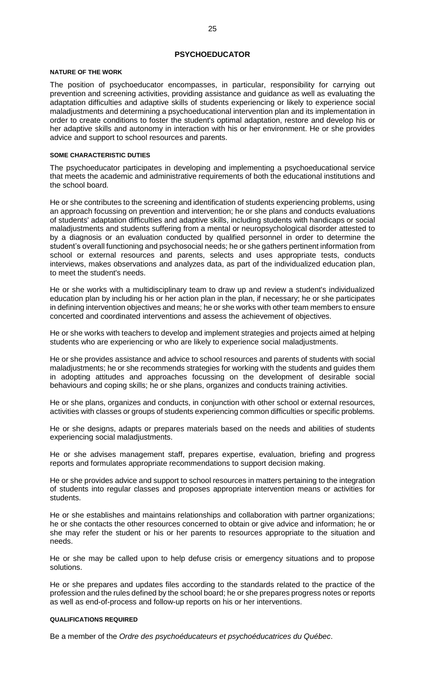# **PSYCHOEDUCATOR**

#### <span id="page-30-0"></span>**NATURE OF THE WORK**

The position of psychoeducator encompasses, in particular, responsibility for carrying out prevention and screening activities, providing assistance and guidance as well as evaluating the adaptation difficulties and adaptive skills of students experiencing or likely to experience social maladjustments and determining a psychoeducational intervention plan and its implementation in order to create conditions to foster the student's optimal adaptation, restore and develop his or her adaptive skills and autonomy in interaction with his or her environment. He or she provides advice and support to school resources and parents.

#### **SOME CHARACTERISTIC DUTIES**

The psychoeducator participates in developing and implementing a psychoeducational service that meets the academic and administrative requirements of both the educational institutions and the school board.

He or she contributes to the screening and identification of students experiencing problems, using an approach focussing on prevention and intervention; he or she plans and conducts evaluations of students' adaptation difficulties and adaptive skills, including students with handicaps or social maladjustments and students suffering from a mental or neuropsychological disorder attested to by a diagnosis or an evaluation conducted by qualified personnel in order to determine the student's overall functioning and psychosocial needs; he or she gathers pertinent information from school or external resources and parents, selects and uses appropriate tests, conducts interviews, makes observations and analyzes data, as part of the individualized education plan, to meet the student's needs.

He or she works with a multidisciplinary team to draw up and review a student's individualized education plan by including his or her action plan in the plan, if necessary; he or she participates in defining intervention objectives and means; he or she works with other team members to ensure concerted and coordinated interventions and assess the achievement of objectives.

He or she works with teachers to develop and implement strategies and projects aimed at helping students who are experiencing or who are likely to experience social maladjustments.

He or she provides assistance and advice to school resources and parents of students with social maladjustments; he or she recommends strategies for working with the students and guides them in adopting attitudes and approaches focussing on the development of desirable social behaviours and coping skills; he or she plans, organizes and conducts training activities.

He or she plans, organizes and conducts, in conjunction with other school or external resources, activities with classes or groups of students experiencing common difficulties or specific problems.

He or she designs, adapts or prepares materials based on the needs and abilities of students experiencing social maladjustments.

He or she advises management staff, prepares expertise, evaluation, briefing and progress reports and formulates appropriate recommendations to support decision making.

He or she provides advice and support to school resources in matters pertaining to the integration of students into regular classes and proposes appropriate intervention means or activities for students.

He or she establishes and maintains relationships and collaboration with partner organizations; he or she contacts the other resources concerned to obtain or give advice and information; he or she may refer the student or his or her parents to resources appropriate to the situation and needs.

He or she may be called upon to help defuse crisis or emergency situations and to propose solutions.

He or she prepares and updates files according to the standards related to the practice of the profession and the rules defined by the school board; he or she prepares progress notes or reports as well as end-of-process and follow-up reports on his or her interventions.

# **QUALIFICATIONS REQUIRED**

Be a member of the *Ordre des psychoéducateurs et psychoéducatrices du Québec*.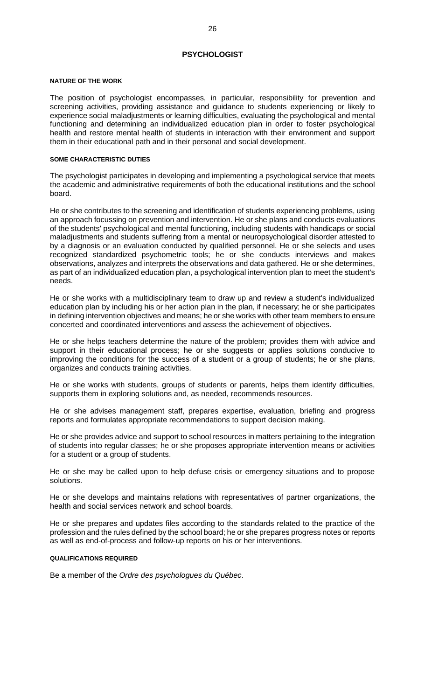# **PSYCHOLOGIST**

#### <span id="page-31-0"></span>**NATURE OF THE WORK**

The position of psychologist encompasses, in particular, responsibility for prevention and screening activities, providing assistance and guidance to students experiencing or likely to experience social maladjustments or learning difficulties, evaluating the psychological and mental functioning and determining an individualized education plan in order to foster psychological health and restore mental health of students in interaction with their environment and support them in their educational path and in their personal and social development.

### **SOME CHARACTERISTIC DUTIES**

The psychologist participates in developing and implementing a psychological service that meets the academic and administrative requirements of both the educational institutions and the school board.

He or she contributes to the screening and identification of students experiencing problems, using an approach focussing on prevention and intervention. He or she plans and conducts evaluations of the students' psychological and mental functioning, including students with handicaps or social maladjustments and students suffering from a mental or neuropsychological disorder attested to by a diagnosis or an evaluation conducted by qualified personnel. He or she selects and uses recognized standardized psychometric tools; he or she conducts interviews and makes observations, analyzes and interprets the observations and data gathered. He or she determines, as part of an individualized education plan, a psychological intervention plan to meet the student's needs.

He or she works with a multidisciplinary team to draw up and review a student's individualized education plan by including his or her action plan in the plan, if necessary; he or she participates in defining intervention objectives and means; he or she works with other team members to ensure concerted and coordinated interventions and assess the achievement of objectives.

He or she helps teachers determine the nature of the problem; provides them with advice and support in their educational process; he or she suggests or applies solutions conducive to improving the conditions for the success of a student or a group of students; he or she plans, organizes and conducts training activities.

He or she works with students, groups of students or parents, helps them identify difficulties, supports them in exploring solutions and, as needed, recommends resources.

He or she advises management staff, prepares expertise, evaluation, briefing and progress reports and formulates appropriate recommendations to support decision making.

He or she provides advice and support to school resources in matters pertaining to the integration of students into regular classes; he or she proposes appropriate intervention means or activities for a student or a group of students.

He or she may be called upon to help defuse crisis or emergency situations and to propose solutions.

He or she develops and maintains relations with representatives of partner organizations, the health and social services network and school boards.

He or she prepares and updates files according to the standards related to the practice of the profession and the rules defined by the school board; he or she prepares progress notes or reports as well as end-of-process and follow-up reports on his or her interventions.

#### **QUALIFICATIONS REQUIRED**

Be a member of the *Ordre des psychologues du Québec*.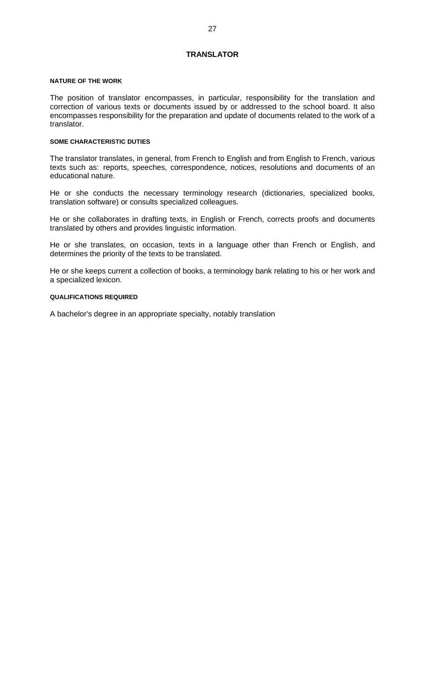# **TRANSLATOR**

#### <span id="page-32-0"></span>**NATURE OF THE WORK**

The position of translator encompasses, in particular, responsibility for the translation and correction of various texts or documents issued by or addressed to the school board. It also encompasses responsibility for the preparation and update of documents related to the work of a translator.

# **SOME CHARACTERISTIC DUTIES**

The translator translates, in general, from French to English and from English to French, various texts such as: reports, speeches, correspondence, notices, resolutions and documents of an educational nature.

He or she conducts the necessary terminology research (dictionaries, specialized books, translation software) or consults specialized colleagues.

He or she collaborates in drafting texts, in English or French, corrects proofs and documents translated by others and provides linguistic information.

He or she translates, on occasion, texts in a language other than French or English, and determines the priority of the texts to be translated.

He or she keeps current a collection of books, a terminology bank relating to his or her work and a specialized lexicon.

# **QUALIFICATIONS REQUIRED**

A bachelor's degree in an appropriate specialty, notably translation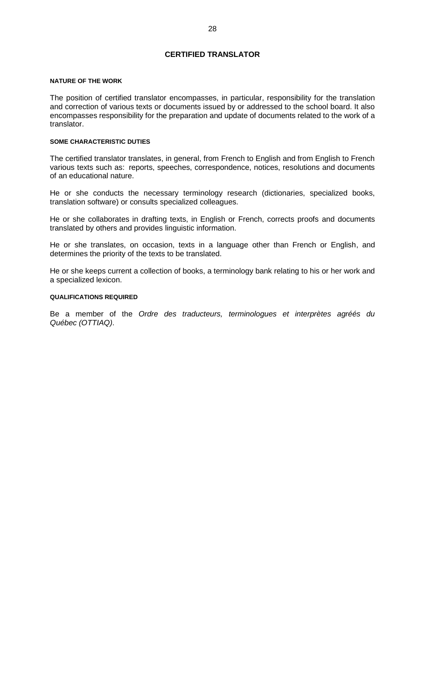# **CERTIFIED TRANSLATOR**

#### <span id="page-33-0"></span>**NATURE OF THE WORK**

The position of certified translator encompasses, in particular, responsibility for the translation and correction of various texts or documents issued by or addressed to the school board. It also encompasses responsibility for the preparation and update of documents related to the work of a translator.

# **SOME CHARACTERISTIC DUTIES**

The certified translator translates, in general, from French to English and from English to French various texts such as: reports, speeches, correspondence, notices, resolutions and documents of an educational nature.

He or she conducts the necessary terminology research (dictionaries, specialized books, translation software) or consults specialized colleagues.

He or she collaborates in drafting texts, in English or French, corrects proofs and documents translated by others and provides linguistic information.

He or she translates, on occasion, texts in a language other than French or English, and determines the priority of the texts to be translated.

He or she keeps current a collection of books, a terminology bank relating to his or her work and a specialized lexicon.

#### **QUALIFICATIONS REQUIRED**

Be a member of the *Ordre des traducteurs, terminologues et interprètes agréés du Québec (OTTIAQ)*.